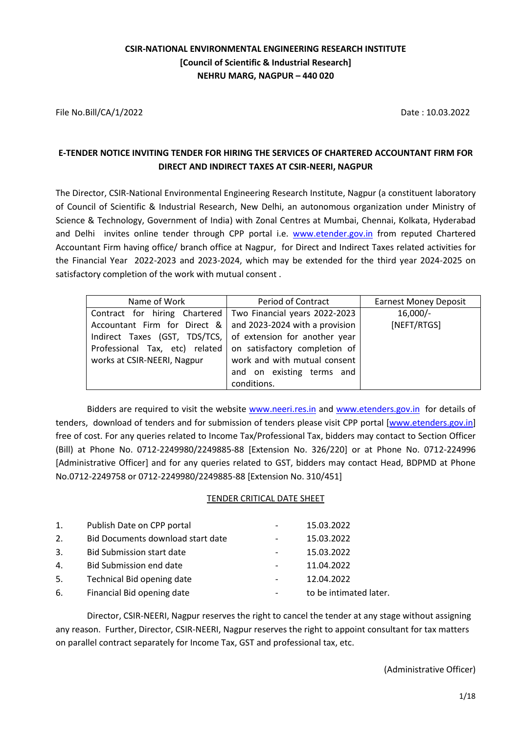# **CSIR-NATIONAL ENVIRONMENTAL ENGINEERING RESEARCH INSTITUTE [Council of Scientific & Industrial Research] NEHRU MARG, NAGPUR – 440 020**

File No.Bill/CA/1/2022 Date : 10.03.2022

# **E-TENDER NOTICE INVITING TENDER FOR HIRING THE SERVICES OF CHARTERED ACCOUNTANT FIRM FOR DIRECT AND INDIRECT TAXES AT CSIR-NEERI, NAGPUR**

The Director, CSIR-National Environmental Engineering Research Institute, Nagpur (a constituent laboratory of Council of Scientific & Industrial Research, New Delhi, an autonomous organization under Ministry of Science & Technology, Government of India) with Zonal Centres at Mumbai, Chennai, Kolkata, Hyderabad and Delhi invites online tender through CPP portal i.e. [www.etender.gov.in](http://www.etender.gov.in/) from reputed Chartered Accountant Firm having office/ branch office at Nagpur, for Direct and Indirect Taxes related activities for the Financial Year 2022-2023 and 2023-2024, which may be extended for the third year 2024-2025 on satisfactory completion of the work with mutual consent .

| Name of Work                                                   | Period of Contract           | <b>Earnest Money Deposit</b> |
|----------------------------------------------------------------|------------------------------|------------------------------|
| Contract for hiring Chartered   Two Financial years 2022-2023  |                              | $16,000/-$                   |
| Accountant Firm for Direct $\&$ and 2023-2024 with a provision |                              | [NEFT/RTGS]                  |
| Indirect Taxes (GST, TDS/TCS, of extension for another year    |                              |                              |
| Professional Tax, etc) related on satisfactory completion of   |                              |                              |
| works at CSIR-NEERI, Nagpur                                    | work and with mutual consent |                              |
|                                                                | and on existing terms and    |                              |
|                                                                | conditions.                  |                              |

Bidders are required to visit the website [www.neeri.res.in](http://www.neeri.res.in/) and [www.etenders.gov.in](http://www.etenders.gov.in/) for details of tenders, download of tenders and for submission of tenders please visit CPP portal [\[www.etenders.gov.in\]](http://www.etenders.gov.in/) free of cost. For any queries related to Income Tax/Professional Tax, bidders may contact to Section Officer (Bill) at Phone No. 0712-2249980/2249885-88 [Extension No. 326/220] or at Phone No. 0712-224996 [Administrative Officer] and for any queries related to GST, bidders may contact Head, BDPMD at Phone No.0712-2249758 or 0712-2249980/2249885-88 [Extension No. 310/451]

### TENDER CRITICAL DATE SHEET

| 1. | Publish Date on CPP portal        | $\overline{\phantom{a}}$ | 15.03.2022             |
|----|-----------------------------------|--------------------------|------------------------|
| 2. | Bid Documents download start date | $\overline{\phantom{a}}$ | 15.03.2022             |
| 3. | <b>Bid Submission start date</b>  |                          | 15.03.2022             |
| 4. | <b>Bid Submission end date</b>    | $\overline{\phantom{a}}$ | 11.04.2022             |
| 5. | Technical Bid opening date        | $\overline{\phantom{a}}$ | 12.04.2022             |
| 6. | Financial Bid opening date        | -                        | to be intimated later. |

Director, CSIR-NEERI, Nagpur reserves the right to cancel the tender at any stage without assigning any reason. Further, Director, CSIR-NEERI, Nagpur reserves the right to appoint consultant for tax matters on parallel contract separately for Income Tax, GST and professional tax, etc.

(Administrative Officer)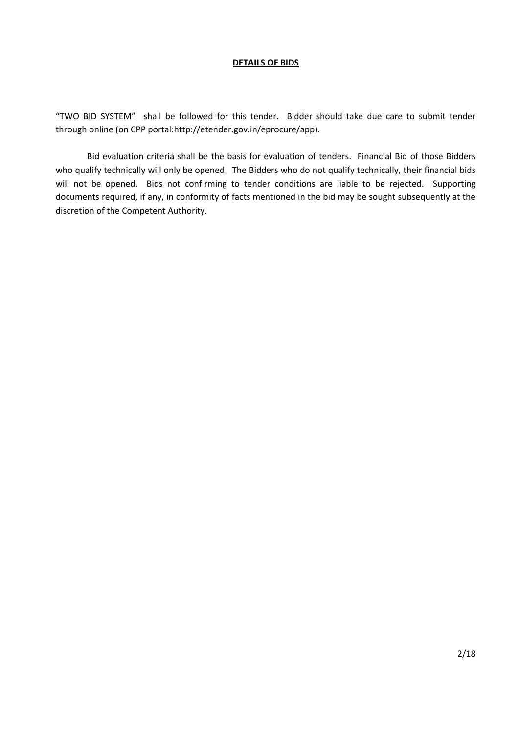#### **DETAILS OF BIDS**

"TWO BID SYSTEM" shall be followed for this tender. Bidder should take due care to submit tender through online (on CPP portal:http://etender.gov.in/eprocure/app).

Bid evaluation criteria shall be the basis for evaluation of tenders. Financial Bid of those Bidders who qualify technically will only be opened. The Bidders who do not qualify technically, their financial bids will not be opened. Bids not confirming to tender conditions are liable to be rejected. Supporting documents required, if any, in conformity of facts mentioned in the bid may be sought subsequently at the discretion of the Competent Authority.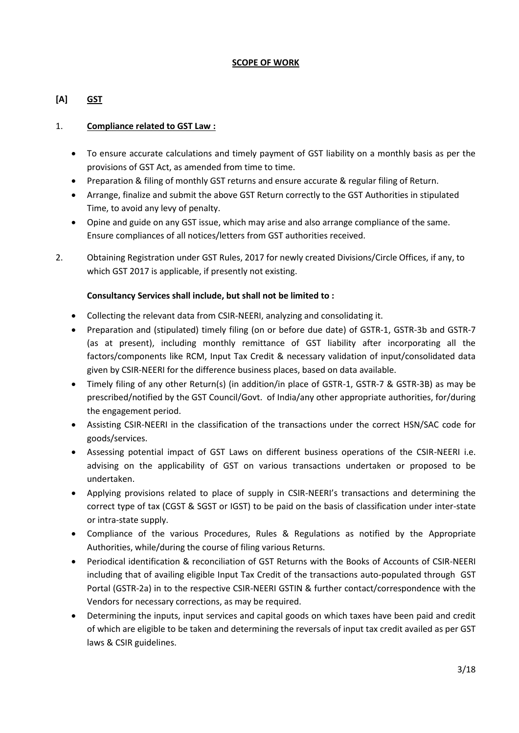### **SCOPE OF WORK**

# **[A] GST**

### 1. **Compliance related to GST Law :**

- To ensure accurate calculations and timely payment of GST liability on a monthly basis as per the provisions of GST Act, as amended from time to time.
- Preparation & filing of monthly GST returns and ensure accurate & regular filing of Return.
- Arrange, finalize and submit the above GST Return correctly to the GST Authorities in stipulated Time, to avoid any levy of penalty.
- Opine and guide on any GST issue, which may arise and also arrange compliance of the same. Ensure compliances of all notices/letters from GST authorities received.
- 2. Obtaining Registration under GST Rules, 2017 for newly created Divisions/Circle Offices, if any, to which GST 2017 is applicable, if presently not existing.

### **Consultancy Services shall include, but shall not be limited to :**

- Collecting the relevant data from CSIR-NEERI, analyzing and consolidating it.
- Preparation and (stipulated) timely filing (on or before due date) of GSTR-1, GSTR-3b and GSTR-7 (as at present), including monthly remittance of GST liability after incorporating all the factors/components like RCM, Input Tax Credit & necessary validation of input/consolidated data given by CSIR-NEERI for the difference business places, based on data available.
- Timely filing of any other Return(s) (in addition/in place of GSTR-1, GSTR-7 & GSTR-3B) as may be prescribed/notified by the GST Council/Govt. of India/any other appropriate authorities, for/during the engagement period.
- Assisting CSIR-NEERI in the classification of the transactions under the correct HSN/SAC code for goods/services.
- Assessing potential impact of GST Laws on different business operations of the CSIR-NEERI i.e. advising on the applicability of GST on various transactions undertaken or proposed to be undertaken.
- Applying provisions related to place of supply in CSIR-NEERI's transactions and determining the correct type of tax (CGST & SGST or IGST) to be paid on the basis of classification under inter-state or intra-state supply.
- Compliance of the various Procedures, Rules & Regulations as notified by the Appropriate Authorities, while/during the course of filing various Returns.
- Periodical identification & reconciliation of GST Returns with the Books of Accounts of CSIR-NEERI including that of availing eligible Input Tax Credit of the transactions auto-populated through GST Portal (GSTR-2a) in to the respective CSIR-NEERI GSTIN & further contact/correspondence with the Vendors for necessary corrections, as may be required.
- Determining the inputs, input services and capital goods on which taxes have been paid and credit of which are eligible to be taken and determining the reversals of input tax credit availed as per GST laws & CSIR guidelines.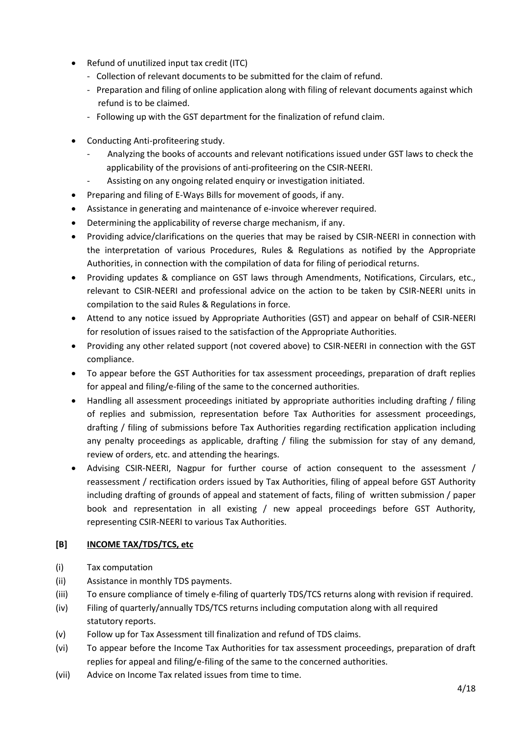- Refund of unutilized input tax credit (ITC)
	- Collection of relevant documents to be submitted for the claim of refund.
	- Preparation and filing of online application along with filing of relevant documents against which refund is to be claimed.
	- Following up with the GST department for the finalization of refund claim.
- Conducting Anti-profiteering study.
	- Analyzing the books of accounts and relevant notifications issued under GST laws to check the applicability of the provisions of anti-profiteering on the CSIR-NEERI.
	- Assisting on any ongoing related enquiry or investigation initiated.
- Preparing and filing of E-Ways Bills for movement of goods, if any.
- Assistance in generating and maintenance of e-invoice wherever required.
- Determining the applicability of reverse charge mechanism, if any.
- Providing advice/clarifications on the queries that may be raised by CSIR-NEERI in connection with the interpretation of various Procedures, Rules & Regulations as notified by the Appropriate Authorities, in connection with the compilation of data for filing of periodical returns.
- Providing updates & compliance on GST laws through Amendments, Notifications, Circulars, etc., relevant to CSIR-NEERI and professional advice on the action to be taken by CSIR-NEERI units in compilation to the said Rules & Regulations in force.
- Attend to any notice issued by Appropriate Authorities (GST) and appear on behalf of CSIR-NEERI for resolution of issues raised to the satisfaction of the Appropriate Authorities.
- Providing any other related support (not covered above) to CSIR-NEERI in connection with the GST compliance.
- To appear before the GST Authorities for tax assessment proceedings, preparation of draft replies for appeal and filing/e-filing of the same to the concerned authorities.
- Handling all assessment proceedings initiated by appropriate authorities including drafting / filing of replies and submission, representation before Tax Authorities for assessment proceedings, drafting / filing of submissions before Tax Authorities regarding rectification application including any penalty proceedings as applicable, drafting / filing the submission for stay of any demand, review of orders, etc. and attending the hearings.
- Advising CSIR-NEERI, Nagpur for further course of action consequent to the assessment / reassessment / rectification orders issued by Tax Authorities, filing of appeal before GST Authority including drafting of grounds of appeal and statement of facts, filing of written submission / paper book and representation in all existing / new appeal proceedings before GST Authority, representing CSIR-NEERI to various Tax Authorities.

## **[B] INCOME TAX/TDS/TCS, etc**

- (i) Tax computation
- (ii) Assistance in monthly TDS payments.
- (iii) To ensure compliance of timely e-filing of quarterly TDS/TCS returns along with revision if required.
- (iv) Filing of quarterly/annually TDS/TCS returns including computation along with all required statutory reports.
- (v) Follow up for Tax Assessment till finalization and refund of TDS claims.
- (vi) To appear before the Income Tax Authorities for tax assessment proceedings, preparation of draft replies for appeal and filing/e-filing of the same to the concerned authorities.
- (vii) Advice on Income Tax related issues from time to time.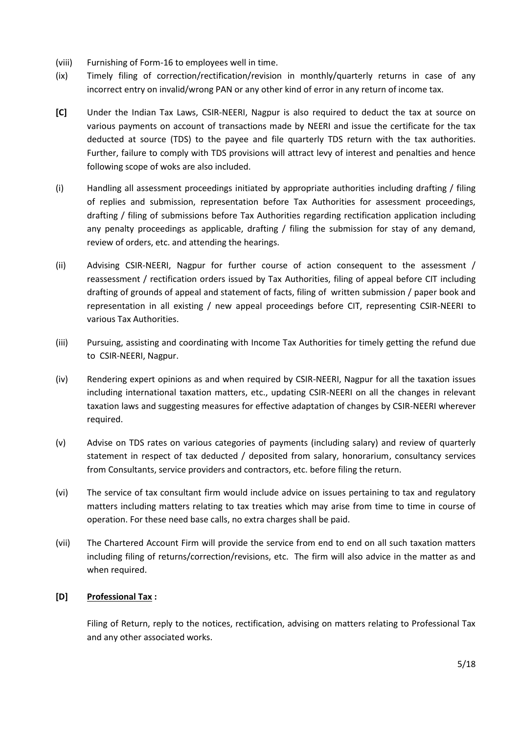- (viii) Furnishing of Form-16 to employees well in time.
- (ix) Timely filing of correction/rectification/revision in monthly/quarterly returns in case of any incorrect entry on invalid/wrong PAN or any other kind of error in any return of income tax.
- **[C]** Under the Indian Tax Laws, CSIR-NEERI, Nagpur is also required to deduct the tax at source on various payments on account of transactions made by NEERI and issue the certificate for the tax deducted at source (TDS) to the payee and file quarterly TDS return with the tax authorities. Further, failure to comply with TDS provisions will attract levy of interest and penalties and hence following scope of woks are also included.
- (i) Handling all assessment proceedings initiated by appropriate authorities including drafting / filing of replies and submission, representation before Tax Authorities for assessment proceedings, drafting / filing of submissions before Tax Authorities regarding rectification application including any penalty proceedings as applicable, drafting / filing the submission for stay of any demand, review of orders, etc. and attending the hearings.
- (ii) Advising CSIR-NEERI, Nagpur for further course of action consequent to the assessment / reassessment / rectification orders issued by Tax Authorities, filing of appeal before CIT including drafting of grounds of appeal and statement of facts, filing of written submission / paper book and representation in all existing / new appeal proceedings before CIT, representing CSIR-NEERI to various Tax Authorities.
- (iii) Pursuing, assisting and coordinating with Income Tax Authorities for timely getting the refund due to CSIR-NEERI, Nagpur.
- (iv) Rendering expert opinions as and when required by CSIR-NEERI, Nagpur for all the taxation issues including international taxation matters, etc., updating CSIR-NEERI on all the changes in relevant taxation laws and suggesting measures for effective adaptation of changes by CSIR-NEERI wherever required.
- (v) Advise on TDS rates on various categories of payments (including salary) and review of quarterly statement in respect of tax deducted / deposited from salary, honorarium, consultancy services from Consultants, service providers and contractors, etc. before filing the return.
- (vi) The service of tax consultant firm would include advice on issues pertaining to tax and regulatory matters including matters relating to tax treaties which may arise from time to time in course of operation. For these need base calls, no extra charges shall be paid.
- (vii) The Chartered Account Firm will provide the service from end to end on all such taxation matters including filing of returns/correction/revisions, etc. The firm will also advice in the matter as and when required.

## **[D] Professional Tax :**

Filing of Return, reply to the notices, rectification, advising on matters relating to Professional Tax and any other associated works.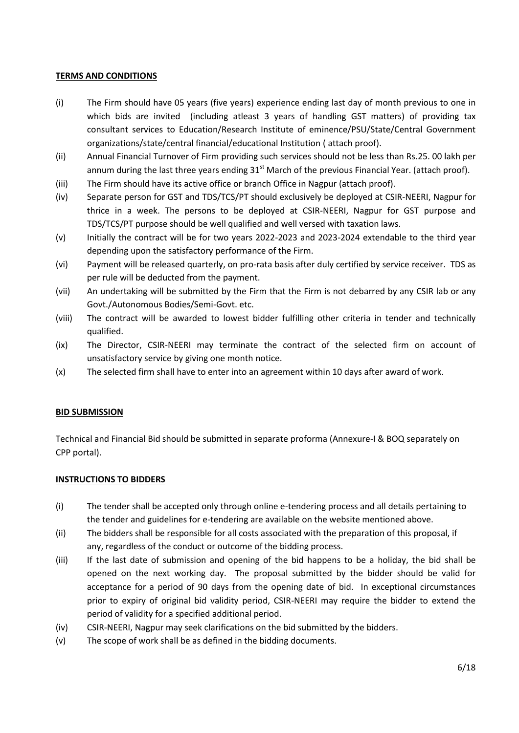### **TERMS AND CONDITIONS**

- (i) The Firm should have 05 years (five years) experience ending last day of month previous to one in which bids are invited (including atleast 3 years of handling GST matters) of providing tax consultant services to Education/Research Institute of eminence/PSU/State/Central Government organizations/state/central financial/educational Institution ( attach proof).
- (ii) Annual Financial Turnover of Firm providing such services should not be less than Rs.25. 00 lakh per annum during the last three years ending  $31<sup>st</sup>$  March of the previous Financial Year. (attach proof).
- (iii) The Firm should have its active office or branch Office in Nagpur (attach proof).
- (iv) Separate person for GST and TDS/TCS/PT should exclusively be deployed at CSIR-NEERI, Nagpur for thrice in a week. The persons to be deployed at CSIR-NEERI, Nagpur for GST purpose and TDS/TCS/PT purpose should be well qualified and well versed with taxation laws.
- (v) Initially the contract will be for two years 2022-2023 and 2023-2024 extendable to the third year depending upon the satisfactory performance of the Firm.
- (vi) Payment will be released quarterly, on pro-rata basis after duly certified by service receiver. TDS as per rule will be deducted from the payment.
- (vii) An undertaking will be submitted by the Firm that the Firm is not debarred by any CSIR lab or any Govt./Autonomous Bodies/Semi-Govt. etc.
- (viii) The contract will be awarded to lowest bidder fulfilling other criteria in tender and technically qualified.
- (ix) The Director, CSIR-NEERI may terminate the contract of the selected firm on account of unsatisfactory service by giving one month notice.
- (x) The selected firm shall have to enter into an agreement within 10 days after award of work.

## **BID SUBMISSION**

Technical and Financial Bid should be submitted in separate proforma (Annexure-I & BOQ separately on CPP portal).

### **INSTRUCTIONS TO BIDDERS**

- (i) The tender shall be accepted only through online e-tendering process and all details pertaining to the tender and guidelines for e-tendering are available on the website mentioned above.
- (ii) The bidders shall be responsible for all costs associated with the preparation of this proposal, if any, regardless of the conduct or outcome of the bidding process.
- (iii) If the last date of submission and opening of the bid happens to be a holiday, the bid shall be opened on the next working day. The proposal submitted by the bidder should be valid for acceptance for a period of 90 days from the opening date of bid. In exceptional circumstances prior to expiry of original bid validity period, CSIR-NEERI may require the bidder to extend the period of validity for a specified additional period.
- (iv) CSIR-NEERI, Nagpur may seek clarifications on the bid submitted by the bidders.
- (v) The scope of work shall be as defined in the bidding documents.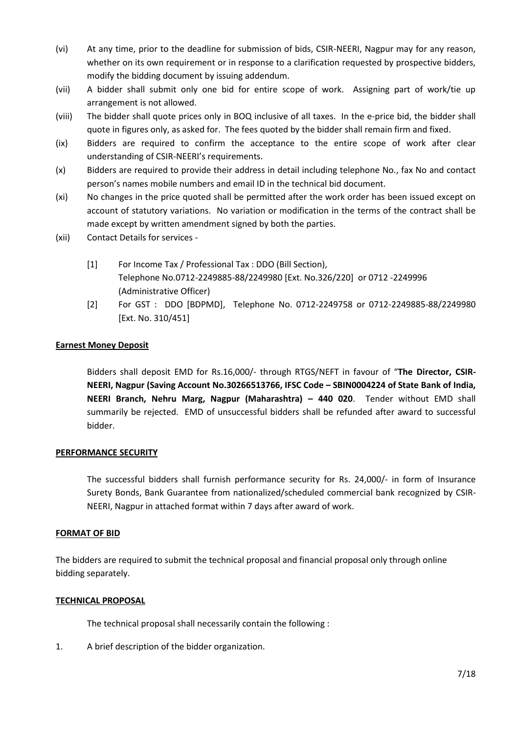- (vi) At any time, prior to the deadline for submission of bids, CSIR-NEERI, Nagpur may for any reason, whether on its own requirement or in response to a clarification requested by prospective bidders, modify the bidding document by issuing addendum.
- (vii) A bidder shall submit only one bid for entire scope of work. Assigning part of work/tie up arrangement is not allowed.
- (viii) The bidder shall quote prices only in BOQ inclusive of all taxes. In the e-price bid, the bidder shall quote in figures only, as asked for. The fees quoted by the bidder shall remain firm and fixed.
- (ix) Bidders are required to confirm the acceptance to the entire scope of work after clear understanding of CSIR-NEERI's requirements.
- (x) Bidders are required to provide their address in detail including telephone No., fax No and contact person's names mobile numbers and email ID in the technical bid document.
- (xi) No changes in the price quoted shall be permitted after the work order has been issued except on account of statutory variations. No variation or modification in the terms of the contract shall be made except by written amendment signed by both the parties.
- (xii) Contact Details for services
	- [1] For Income Tax / Professional Tax : DDO (Bill Section), Telephone No.0712-2249885-88/2249980 [Ext. No.326/220] or 0712 -2249996 (Administrative Officer)
	- [2] For GST : DDO [BDPMD], Telephone No. 0712-2249758 or 0712-2249885-88/2249980 [Ext. No. 310/451]

### **Earnest Money Deposit**

Bidders shall deposit EMD for Rs.16,000/- through RTGS/NEFT in favour of "**The Director, CSIR-NEERI, Nagpur (Saving Account No.30266513766, IFSC Code – SBIN0004224 of State Bank of India, NEERI Branch, Nehru Marg, Nagpur (Maharashtra) – 440 020**. Tender without EMD shall summarily be rejected. EMD of unsuccessful bidders shall be refunded after award to successful bidder.

### **PERFORMANCE SECURITY**

The successful bidders shall furnish performance security for Rs. 24,000/- in form of Insurance Surety Bonds, Bank Guarantee from nationalized/scheduled commercial bank recognized by CSIR-NEERI, Nagpur in attached format within 7 days after award of work.

### **FORMAT OF BID**

The bidders are required to submit the technical proposal and financial proposal only through online bidding separately.

## **TECHNICAL PROPOSAL**

The technical proposal shall necessarily contain the following :

1. A brief description of the bidder organization.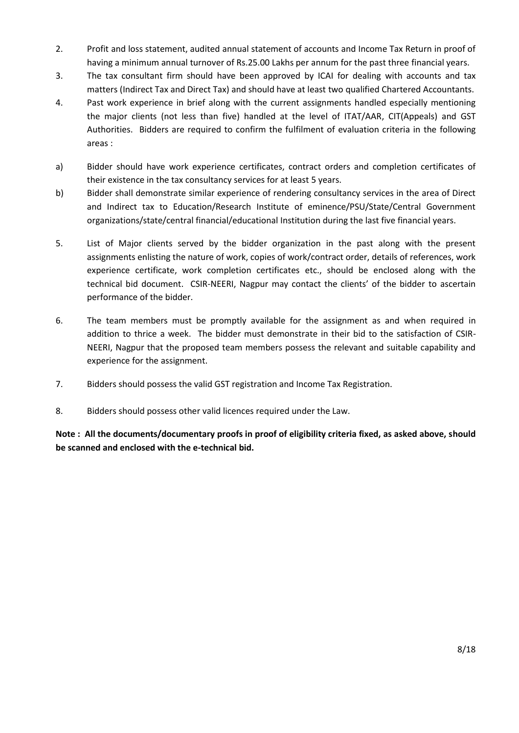- 2. Profit and loss statement, audited annual statement of accounts and Income Tax Return in proof of having a minimum annual turnover of Rs.25.00 Lakhs per annum for the past three financial years.
- 3. The tax consultant firm should have been approved by ICAI for dealing with accounts and tax matters (Indirect Tax and Direct Tax) and should have at least two qualified Chartered Accountants.
- 4. Past work experience in brief along with the current assignments handled especially mentioning the major clients (not less than five) handled at the level of ITAT/AAR, CIT(Appeals) and GST Authorities. Bidders are required to confirm the fulfilment of evaluation criteria in the following areas :
- a) Bidder should have work experience certificates, contract orders and completion certificates of their existence in the tax consultancy services for at least 5 years.
- b) Bidder shall demonstrate similar experience of rendering consultancy services in the area of Direct and Indirect tax to Education/Research Institute of eminence/PSU/State/Central Government organizations/state/central financial/educational Institution during the last five financial years.
- 5. List of Major clients served by the bidder organization in the past along with the present assignments enlisting the nature of work, copies of work/contract order, details of references, work experience certificate, work completion certificates etc., should be enclosed along with the technical bid document. CSIR-NEERI, Nagpur may contact the clients' of the bidder to ascertain performance of the bidder.
- 6. The team members must be promptly available for the assignment as and when required in addition to thrice a week. The bidder must demonstrate in their bid to the satisfaction of CSIR-NEERI, Nagpur that the proposed team members possess the relevant and suitable capability and experience for the assignment.
- 7. Bidders should possess the valid GST registration and Income Tax Registration.
- 8. Bidders should possess other valid licences required under the Law.

**Note : All the documents/documentary proofs in proof of eligibility criteria fixed, as asked above, should be scanned and enclosed with the e-technical bid.**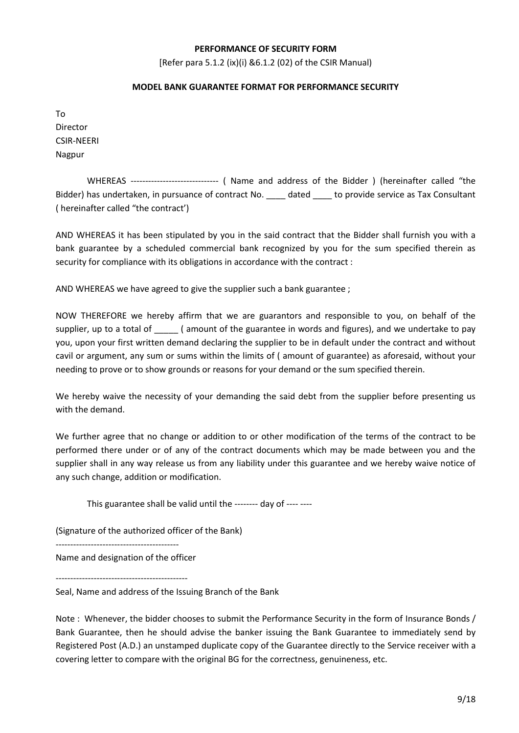### **PERFORMANCE OF SECURITY FORM**

[Refer para 5.1.2 (ix)(i) &6.1.2 (02) of the CSIR Manual)

#### **MODEL BANK GUARANTEE FORMAT FOR PERFORMANCE SECURITY**

To Director CSIR-NEERI Nagpur

WHEREAS ------------------------------ ( Name and address of the Bidder ) (hereinafter called "the Bidder) has undertaken, in pursuance of contract No. <br>dated to provide service as Tax Consultant ( hereinafter called "the contract')

AND WHEREAS it has been stipulated by you in the said contract that the Bidder shall furnish you with a bank guarantee by a scheduled commercial bank recognized by you for the sum specified therein as security for compliance with its obligations in accordance with the contract :

AND WHEREAS we have agreed to give the supplier such a bank guarantee ;

NOW THEREFORE we hereby affirm that we are guarantors and responsible to you, on behalf of the supplier, up to a total of  $\qquad$  ( amount of the guarantee in words and figures), and we undertake to pay you, upon your first written demand declaring the supplier to be in default under the contract and without cavil or argument, any sum or sums within the limits of ( amount of guarantee) as aforesaid, without your needing to prove or to show grounds or reasons for your demand or the sum specified therein.

We hereby waive the necessity of your demanding the said debt from the supplier before presenting us with the demand.

We further agree that no change or addition to or other modification of the terms of the contract to be performed there under or of any of the contract documents which may be made between you and the supplier shall in any way release us from any liability under this guarantee and we hereby waive notice of any such change, addition or modification.

This guarantee shall be valid until the -------- day of ---- ----

(Signature of the authorized officer of the Bank)

------------------------------------------

Name and designation of the officer

---------------------------------------------

Seal, Name and address of the Issuing Branch of the Bank

Note : Whenever, the bidder chooses to submit the Performance Security in the form of Insurance Bonds / Bank Guarantee, then he should advise the banker issuing the Bank Guarantee to immediately send by Registered Post (A.D.) an unstamped duplicate copy of the Guarantee directly to the Service receiver with a covering letter to compare with the original BG for the correctness, genuineness, etc.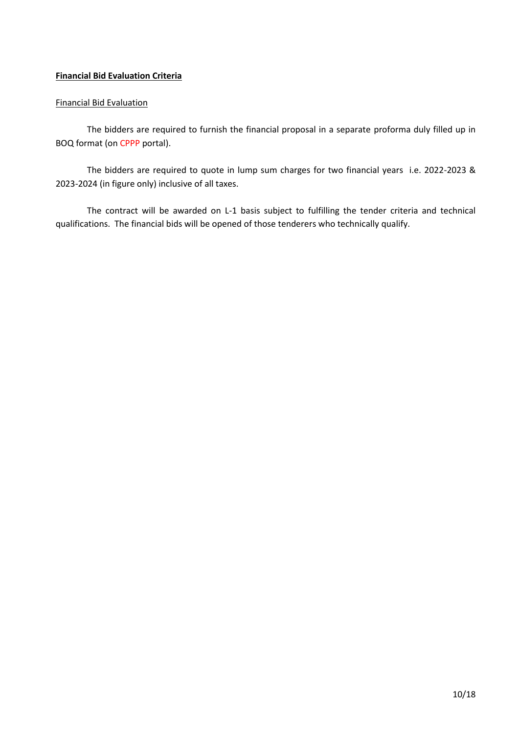## **Financial Bid Evaluation Criteria**

### Financial Bid Evaluation

The bidders are required to furnish the financial proposal in a separate proforma duly filled up in BOQ format (on CPPP portal).

The bidders are required to quote in lump sum charges for two financial years i.e. 2022-2023 & 2023-2024 (in figure only) inclusive of all taxes.

The contract will be awarded on L-1 basis subject to fulfilling the tender criteria and technical qualifications. The financial bids will be opened of those tenderers who technically qualify.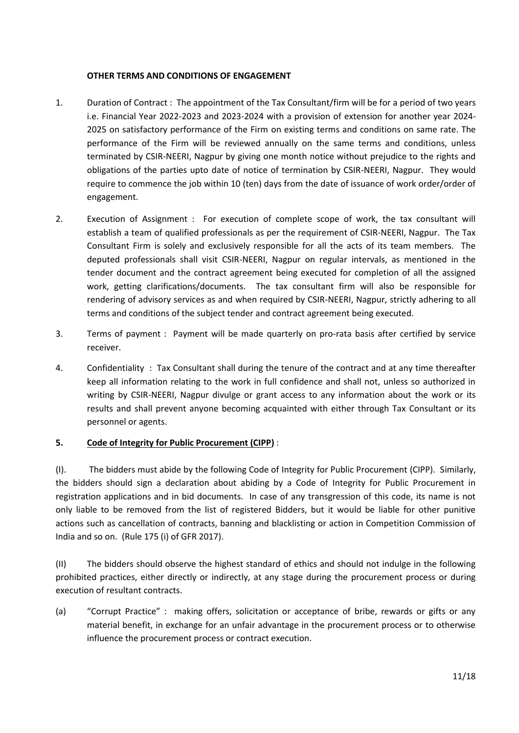### **OTHER TERMS AND CONDITIONS OF ENGAGEMENT**

- 1. Duration of Contract : The appointment of the Tax Consultant/firm will be for a period of two years i.e. Financial Year 2022-2023 and 2023-2024 with a provision of extension for another year 2024- 2025 on satisfactory performance of the Firm on existing terms and conditions on same rate. The performance of the Firm will be reviewed annually on the same terms and conditions, unless terminated by CSIR-NEERI, Nagpur by giving one month notice without prejudice to the rights and obligations of the parties upto date of notice of termination by CSIR-NEERI, Nagpur. They would require to commence the job within 10 (ten) days from the date of issuance of work order/order of engagement.
- 2. Execution of Assignment : For execution of complete scope of work, the tax consultant will establish a team of qualified professionals as per the requirement of CSIR-NEERI, Nagpur. The Tax Consultant Firm is solely and exclusively responsible for all the acts of its team members. The deputed professionals shall visit CSIR-NEERI, Nagpur on regular intervals, as mentioned in the tender document and the contract agreement being executed for completion of all the assigned work, getting clarifications/documents. The tax consultant firm will also be responsible for rendering of advisory services as and when required by CSIR-NEERI, Nagpur, strictly adhering to all terms and conditions of the subject tender and contract agreement being executed.
- 3. Terms of payment : Payment will be made quarterly on pro-rata basis after certified by service receiver.
- 4. Confidentiality : Tax Consultant shall during the tenure of the contract and at any time thereafter keep all information relating to the work in full confidence and shall not, unless so authorized in writing by CSIR-NEERI, Nagpur divulge or grant access to any information about the work or its results and shall prevent anyone becoming acquainted with either through Tax Consultant or its personnel or agents.

## **5. Code of Integrity for Public Procurement (CIPP)** :

(I). The bidders must abide by the following Code of Integrity for Public Procurement (CIPP). Similarly, the bidders should sign a declaration about abiding by a Code of Integrity for Public Procurement in registration applications and in bid documents. In case of any transgression of this code, its name is not only liable to be removed from the list of registered Bidders, but it would be liable for other punitive actions such as cancellation of contracts, banning and blacklisting or action in Competition Commission of India and so on. (Rule 175 (i) of GFR 2017).

(II) The bidders should observe the highest standard of ethics and should not indulge in the following prohibited practices, either directly or indirectly, at any stage during the procurement process or during execution of resultant contracts.

(a) "Corrupt Practice" : making offers, solicitation or acceptance of bribe, rewards or gifts or any material benefit, in exchange for an unfair advantage in the procurement process or to otherwise influence the procurement process or contract execution.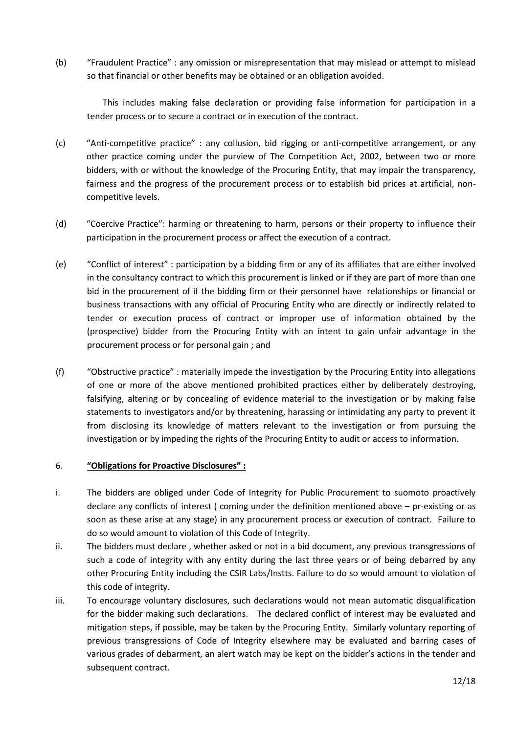(b) "Fraudulent Practice" : any omission or misrepresentation that may mislead or attempt to mislead so that financial or other benefits may be obtained or an obligation avoided.

This includes making false declaration or providing false information for participation in a tender process or to secure a contract or in execution of the contract.

- (c) "Anti-competitive practice" : any collusion, bid rigging or anti-competitive arrangement, or any other practice coming under the purview of The Competition Act, 2002, between two or more bidders, with or without the knowledge of the Procuring Entity, that may impair the transparency, fairness and the progress of the procurement process or to establish bid prices at artificial, noncompetitive levels.
- (d) "Coercive Practice": harming or threatening to harm, persons or their property to influence their participation in the procurement process or affect the execution of a contract.
- (e) "Conflict of interest" : participation by a bidding firm or any of its affiliates that are either involved in the consultancy contract to which this procurement is linked or if they are part of more than one bid in the procurement of if the bidding firm or their personnel have relationships or financial or business transactions with any official of Procuring Entity who are directly or indirectly related to tender or execution process of contract or improper use of information obtained by the (prospective) bidder from the Procuring Entity with an intent to gain unfair advantage in the procurement process or for personal gain ; and
- (f) "Obstructive practice" : materially impede the investigation by the Procuring Entity into allegations of one or more of the above mentioned prohibited practices either by deliberately destroying, falsifying, altering or by concealing of evidence material to the investigation or by making false statements to investigators and/or by threatening, harassing or intimidating any party to prevent it from disclosing its knowledge of matters relevant to the investigation or from pursuing the investigation or by impeding the rights of the Procuring Entity to audit or access to information.

## 6. **"Obligations for Proactive Disclosures" :**

- i. The bidders are obliged under Code of Integrity for Public Procurement to suomoto proactively declare any conflicts of interest ( coming under the definition mentioned above – pr-existing or as soon as these arise at any stage) in any procurement process or execution of contract. Failure to do so would amount to violation of this Code of Integrity.
- ii. The bidders must declare , whether asked or not in a bid document, any previous transgressions of such a code of integrity with any entity during the last three years or of being debarred by any other Procuring Entity including the CSIR Labs/Instts. Failure to do so would amount to violation of this code of integrity.
- iii. To encourage voluntary disclosures, such declarations would not mean automatic disqualification for the bidder making such declarations. The declared conflict of interest may be evaluated and mitigation steps, if possible, may be taken by the Procuring Entity. Similarly voluntary reporting of previous transgressions of Code of Integrity elsewhere may be evaluated and barring cases of various grades of debarment, an alert watch may be kept on the bidder's actions in the tender and subsequent contract.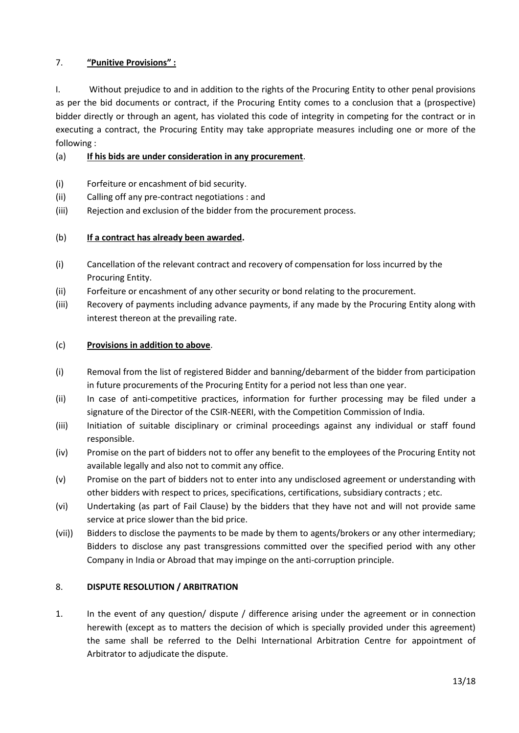# 7. **"Punitive Provisions" :**

I. Without prejudice to and in addition to the rights of the Procuring Entity to other penal provisions as per the bid documents or contract, if the Procuring Entity comes to a conclusion that a (prospective) bidder directly or through an agent, has violated this code of integrity in competing for the contract or in executing a contract, the Procuring Entity may take appropriate measures including one or more of the following :

## (a) **If his bids are under consideration in any procurement**.

- (i) Forfeiture or encashment of bid security.
- (ii) Calling off any pre-contract negotiations : and
- (iii) Rejection and exclusion of the bidder from the procurement process.

## (b) **If a contract has already been awarded.**

- (i) Cancellation of the relevant contract and recovery of compensation for loss incurred by the Procuring Entity.
- (ii) Forfeiture or encashment of any other security or bond relating to the procurement.
- (iii) Recovery of payments including advance payments, if any made by the Procuring Entity along with interest thereon at the prevailing rate.

## (c) **Provisions in addition to above**.

- (i) Removal from the list of registered Bidder and banning/debarment of the bidder from participation in future procurements of the Procuring Entity for a period not less than one year.
- (ii) In case of anti-competitive practices, information for further processing may be filed under a signature of the Director of the CSIR-NEERI, with the Competition Commission of India.
- (iii) Initiation of suitable disciplinary or criminal proceedings against any individual or staff found responsible.
- (iv) Promise on the part of bidders not to offer any benefit to the employees of the Procuring Entity not available legally and also not to commit any office.
- (v) Promise on the part of bidders not to enter into any undisclosed agreement or understanding with other bidders with respect to prices, specifications, certifications, subsidiary contracts ; etc.
- (vi) Undertaking (as part of Fail Clause) by the bidders that they have not and will not provide same service at price slower than the bid price.
- (vii)) Bidders to disclose the payments to be made by them to agents/brokers or any other intermediary; Bidders to disclose any past transgressions committed over the specified period with any other Company in India or Abroad that may impinge on the anti-corruption principle.

## 8. **DISPUTE RESOLUTION / ARBITRATION**

1. In the event of any question/ dispute / difference arising under the agreement or in connection herewith (except as to matters the decision of which is specially provided under this agreement) the same shall be referred to the Delhi International Arbitration Centre for appointment of Arbitrator to adjudicate the dispute.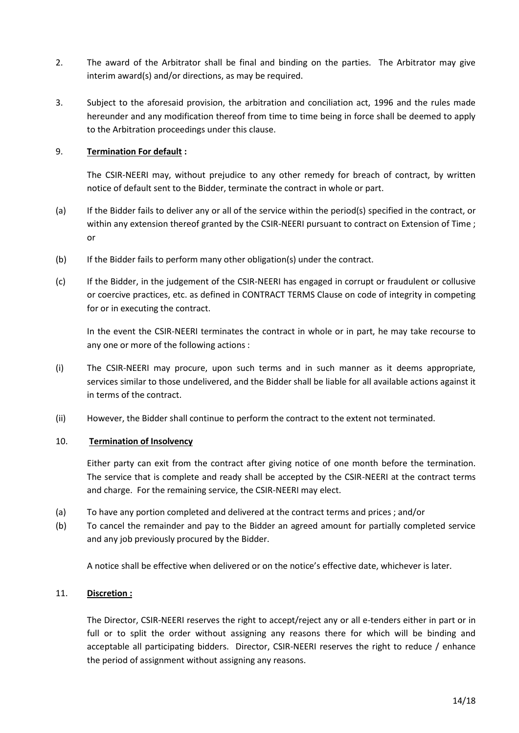- 2. The award of the Arbitrator shall be final and binding on the parties. The Arbitrator may give interim award(s) and/or directions, as may be required.
- 3. Subject to the aforesaid provision, the arbitration and conciliation act, 1996 and the rules made hereunder and any modification thereof from time to time being in force shall be deemed to apply to the Arbitration proceedings under this clause.

### 9. **Termination For default :**

The CSIR-NEERI may, without prejudice to any other remedy for breach of contract, by written notice of default sent to the Bidder, terminate the contract in whole or part.

- (a) If the Bidder fails to deliver any or all of the service within the period(s) specified in the contract, or within any extension thereof granted by the CSIR-NEERI pursuant to contract on Extension of Time ; or
- (b) If the Bidder fails to perform many other obligation(s) under the contract.
- (c) If the Bidder, in the judgement of the CSIR-NEERI has engaged in corrupt or fraudulent or collusive or coercive practices, etc. as defined in CONTRACT TERMS Clause on code of integrity in competing for or in executing the contract.

In the event the CSIR-NEERI terminates the contract in whole or in part, he may take recourse to any one or more of the following actions :

- (i) The CSIR-NEERI may procure, upon such terms and in such manner as it deems appropriate, services similar to those undelivered, and the Bidder shall be liable for all available actions against it in terms of the contract.
- (ii) However, the Bidder shall continue to perform the contract to the extent not terminated.

### 10. **Termination of Insolvency**

Either party can exit from the contract after giving notice of one month before the termination. The service that is complete and ready shall be accepted by the CSIR-NEERI at the contract terms and charge. For the remaining service, the CSIR-NEERI may elect.

- (a) To have any portion completed and delivered at the contract terms and prices ; and/or
- (b) To cancel the remainder and pay to the Bidder an agreed amount for partially completed service and any job previously procured by the Bidder.

A notice shall be effective when delivered or on the notice's effective date, whichever is later.

### 11. **Discretion :**

The Director, CSIR-NEERI reserves the right to accept/reject any or all e-tenders either in part or in full or to split the order without assigning any reasons there for which will be binding and acceptable all participating bidders. Director, CSIR-NEERI reserves the right to reduce / enhance the period of assignment without assigning any reasons.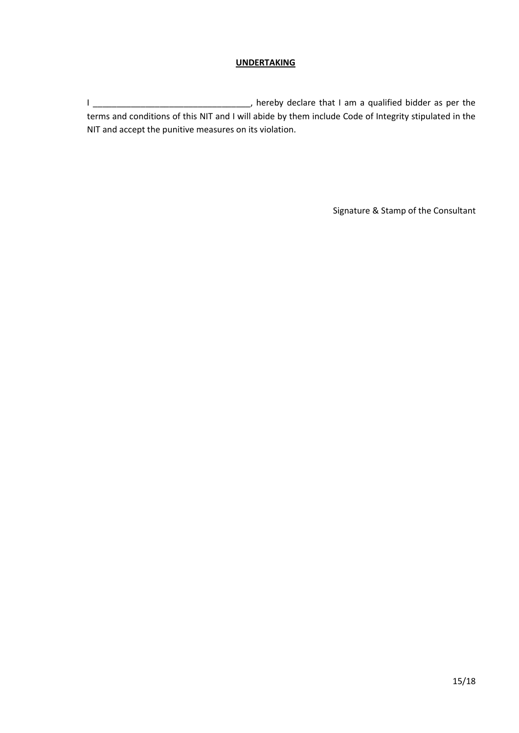## **UNDERTAKING**

I \_\_\_\_\_\_\_\_\_\_\_\_\_\_\_\_\_\_\_\_\_\_\_\_\_\_\_\_\_\_\_\_\_, hereby declare that I am a qualified bidder as per the terms and conditions of this NIT and I will abide by them include Code of Integrity stipulated in the NIT and accept the punitive measures on its violation.

Signature & Stamp of the Consultant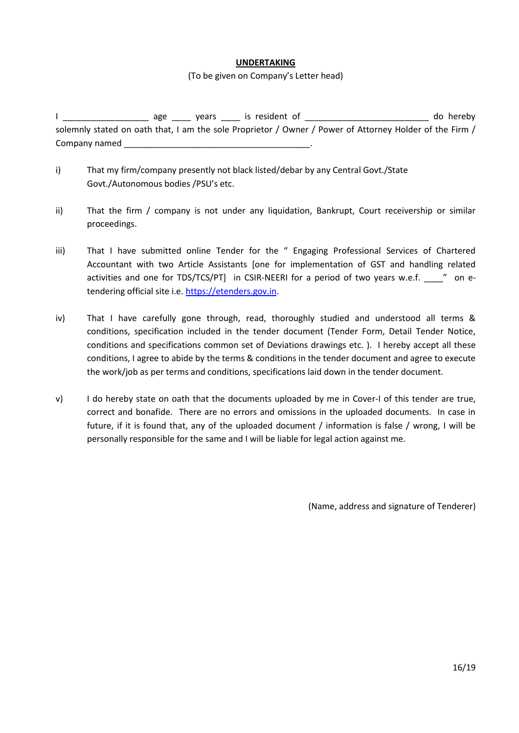### **UNDERTAKING**

#### (To be given on Company's Letter head)

I \_\_\_\_\_\_\_\_\_\_\_\_\_\_\_\_\_\_ age \_\_\_\_ years \_\_\_\_ is resident of \_\_\_\_\_\_\_\_\_\_\_\_\_\_\_\_\_\_\_\_\_\_\_\_\_\_ do hereby solemnly stated on oath that, I am the sole Proprietor / Owner / Power of Attorney Holder of the Firm / Company named

- i) That my firm/company presently not black listed/debar by any Central Govt./State Govt./Autonomous bodies /PSU's etc.
- ii) That the firm / company is not under any liquidation, Bankrupt, Court receivership or similar proceedings.
- iii) That I have submitted online Tender for the " Engaging Professional Services of Chartered Accountant with two Article Assistants [one for implementation of GST and handling related activities and one for TDS/TCS/PT] in CSIR-NEERI for a period of two years w.e.f.  $\ldots$  " on etendering official site i.e. [https://etenders.gov.in.](https://etenders.gov.in/)
- iv) That I have carefully gone through, read, thoroughly studied and understood all terms & conditions, specification included in the tender document (Tender Form, Detail Tender Notice, conditions and specifications common set of Deviations drawings etc. ). I hereby accept all these conditions, I agree to abide by the terms & conditions in the tender document and agree to execute the work/job as per terms and conditions, specifications laid down in the tender document.
- v) I do hereby state on oath that the documents uploaded by me in Cover-I of this tender are true, correct and bonafide. There are no errors and omissions in the uploaded documents. In case in future, if it is found that, any of the uploaded document / information is false / wrong, I will be personally responsible for the same and I will be liable for legal action against me.

(Name, address and signature of Tenderer)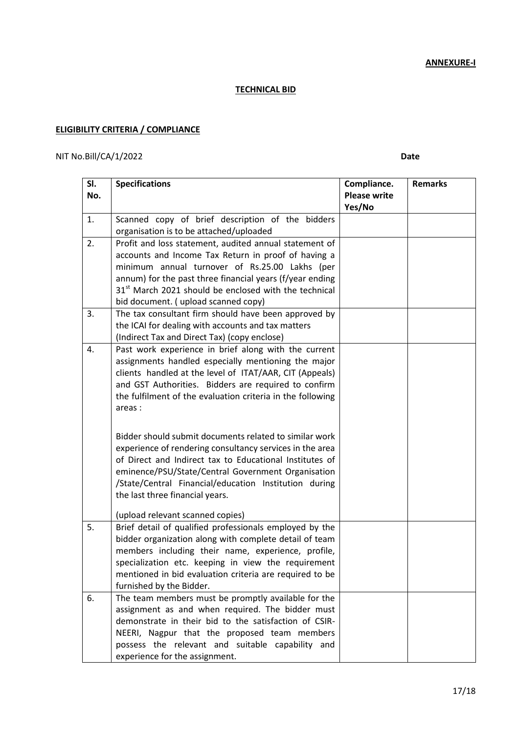**ANNEXURE-I**

## **TECHNICAL BID**

# **ELIGIBILITY CRITERIA / COMPLIANCE**

## NIT No.Bill/CA/1/2022 **Date**

| SI. | <b>Specifications</b>                                                                                           | Compliance.         | <b>Remarks</b> |
|-----|-----------------------------------------------------------------------------------------------------------------|---------------------|----------------|
| No. |                                                                                                                 | <b>Please write</b> |                |
|     |                                                                                                                 | Yes/No              |                |
| 1.  | Scanned copy of brief description of the bidders                                                                |                     |                |
|     | organisation is to be attached/uploaded                                                                         |                     |                |
| 2.  | Profit and loss statement, audited annual statement of                                                          |                     |                |
|     | accounts and Income Tax Return in proof of having a                                                             |                     |                |
|     | minimum annual turnover of Rs.25.00 Lakhs (per                                                                  |                     |                |
|     | annum) for the past three financial years (f/year ending                                                        |                     |                |
|     | 31 <sup>st</sup> March 2021 should be enclosed with the technical                                               |                     |                |
|     | bid document. (upload scanned copy)                                                                             |                     |                |
| 3.  | The tax consultant firm should have been approved by                                                            |                     |                |
|     | the ICAI for dealing with accounts and tax matters                                                              |                     |                |
|     | (Indirect Tax and Direct Tax) (copy enclose)                                                                    |                     |                |
| 4.  | Past work experience in brief along with the current                                                            |                     |                |
|     | assignments handled especially mentioning the major                                                             |                     |                |
|     | clients handled at the level of ITAT/AAR, CIT (Appeals)<br>and GST Authorities. Bidders are required to confirm |                     |                |
|     | the fulfilment of the evaluation criteria in the following                                                      |                     |                |
|     | areas:                                                                                                          |                     |                |
|     |                                                                                                                 |                     |                |
|     |                                                                                                                 |                     |                |
|     | Bidder should submit documents related to similar work                                                          |                     |                |
|     | experience of rendering consultancy services in the area                                                        |                     |                |
|     | of Direct and Indirect tax to Educational Institutes of                                                         |                     |                |
|     | eminence/PSU/State/Central Government Organisation                                                              |                     |                |
|     | /State/Central Financial/education Institution during<br>the last three financial years.                        |                     |                |
|     |                                                                                                                 |                     |                |
|     | (upload relevant scanned copies)                                                                                |                     |                |
| 5.  | Brief detail of qualified professionals employed by the                                                         |                     |                |
|     | bidder organization along with complete detail of team                                                          |                     |                |
|     | members including their name, experience, profile,                                                              |                     |                |
|     | specialization etc. keeping in view the requirement                                                             |                     |                |
|     | mentioned in bid evaluation criteria are required to be                                                         |                     |                |
|     | furnished by the Bidder.                                                                                        |                     |                |
| 6.  | The team members must be promptly available for the                                                             |                     |                |
|     | assignment as and when required. The bidder must                                                                |                     |                |
|     | demonstrate in their bid to the satisfaction of CSIR-                                                           |                     |                |
|     | NEERI, Nagpur that the proposed team members                                                                    |                     |                |
|     | possess the relevant and suitable capability and                                                                |                     |                |
|     | experience for the assignment.                                                                                  |                     |                |